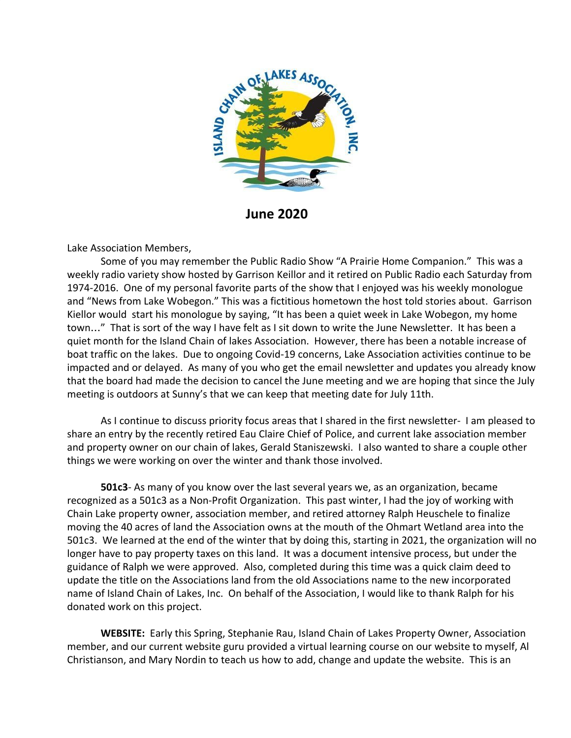

**June 2020**

Lake Association Members,

Some of you may remember the Public Radio Show "A Prairie Home Companion." This was a weekly radio variety show hosted by Garrison Keillor and it retired on Public Radio each Saturday from 1974-2016. One of my personal favorite parts of the show that I enjoyed was his weekly monologue and "News from Lake Wobegon." This was a fictitious hometown the host told stories about. Garrison Kiellor would start his monologue by saying, "It has been a quiet week in Lake Wobegon, my home town…" That is sort of the way I have felt as I sit down to write the June Newsletter. It has been a quiet month for the Island Chain of lakes Association. However, there has been a notable increase of boat traffic on the lakes. Due to ongoing Covid-19 concerns, Lake Association activities continue to be impacted and or delayed. As many of you who get the email newsletter and updates you already know that the board had made the decision to cancel the June meeting and we are hoping that since the July meeting is outdoors at Sunny's that we can keep that meeting date for July 11th.

As I continue to discuss priority focus areas that I shared in the first newsletter- I am pleased to share an entry by the recently retired Eau Claire Chief of Police, and current lake association member and property owner on our chain of lakes, Gerald Staniszewski. I also wanted to share a couple other things we were working on over the winter and thank those involved.

**501c3**- As many of you know over the last several years we, as an organization, became recognized as a 501c3 as a Non-Profit Organization. This past winter, I had the joy of working with Chain Lake property owner, association member, and retired attorney Ralph Heuschele to finalize moving the 40 acres of land the Association owns at the mouth of the Ohmart Wetland area into the 501c3. We learned at the end of the winter that by doing this, starting in 2021, the organization will no longer have to pay property taxes on this land. It was a document intensive process, but under the guidance of Ralph we were approved. Also, completed during this time was a quick claim deed to update the title on the Associations land from the old Associations name to the new incorporated name of Island Chain of Lakes, Inc. On behalf of the Association, I would like to thank Ralph for his donated work on this project.

**WEBSITE:** Early this Spring, Stephanie Rau, Island Chain of Lakes Property Owner, Association member, and our current website guru provided a virtual learning course on our website to myself, Al Christianson, and Mary Nordin to teach us how to add, change and update the website. This is an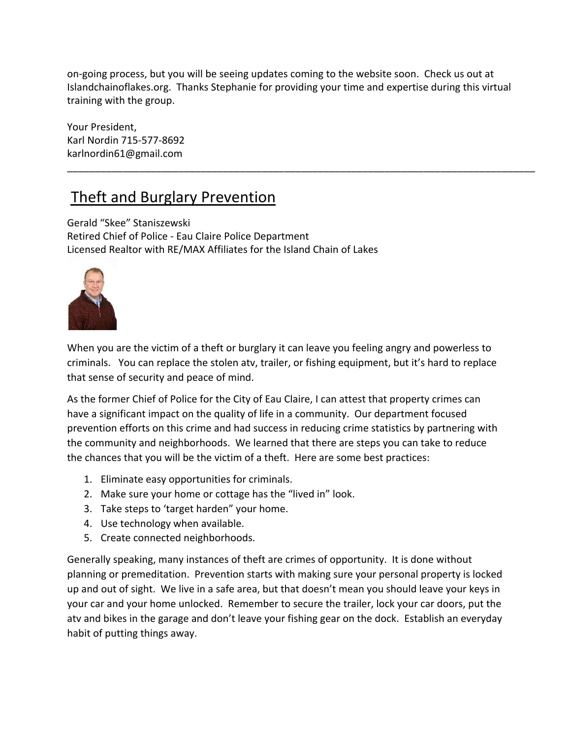on-going process, but you will be seeing updates coming to the website soon. Check us out at Islandchainoflakes.org. Thanks Stephanie for providing your time and expertise during this virtual training with the group.

\_\_\_\_\_\_\_\_\_\_\_\_\_\_\_\_\_\_\_\_\_\_\_\_\_\_\_\_\_\_\_\_\_\_\_\_\_\_\_\_\_\_\_\_\_\_\_\_\_\_\_\_\_\_\_\_\_\_\_\_\_\_\_\_\_\_\_\_\_\_\_\_\_\_\_\_\_\_\_\_\_\_\_\_

Your President, Karl Nordin 715-577-8692 karlnordin61@gmail.com

## Theft and Burglary Prevention

Gerald "Skee" Staniszewski Retired Chief of Police - Eau Claire Police Department Licensed Realtor with RE/MAX Affiliates for the Island Chain of Lakes



When you are the victim of a theft or burglary it can leave you feeling angry and powerless to criminals. You can replace the stolen atv, trailer, or fishing equipment, but it's hard to replace that sense of security and peace of mind.

As the former Chief of Police for the City of Eau Claire, I can attest that property crimes can have a significant impact on the quality of life in a community. Our department focused prevention efforts on this crime and had success in reducing crime statistics by partnering with the community and neighborhoods. We learned that there are steps you can take to reduce the chances that you will be the victim of a theft. Here are some best practices:

- 1. Eliminate easy opportunities for criminals.
- 2. Make sure your home or cottage has the "lived in" look.
- 3. Take steps to 'target harden" your home.
- 4. Use technology when available.
- 5. Create connected neighborhoods.

Generally speaking, many instances of theft are crimes of opportunity. It is done without planning or premeditation. Prevention starts with making sure your personal property is locked up and out of sight. We live in a safe area, but that doesn't mean you should leave your keys in your car and your home unlocked. Remember to secure the trailer, lock your car doors, put the atv and bikes in the garage and don't leave your fishing gear on the dock. Establish an everyday habit of putting things away.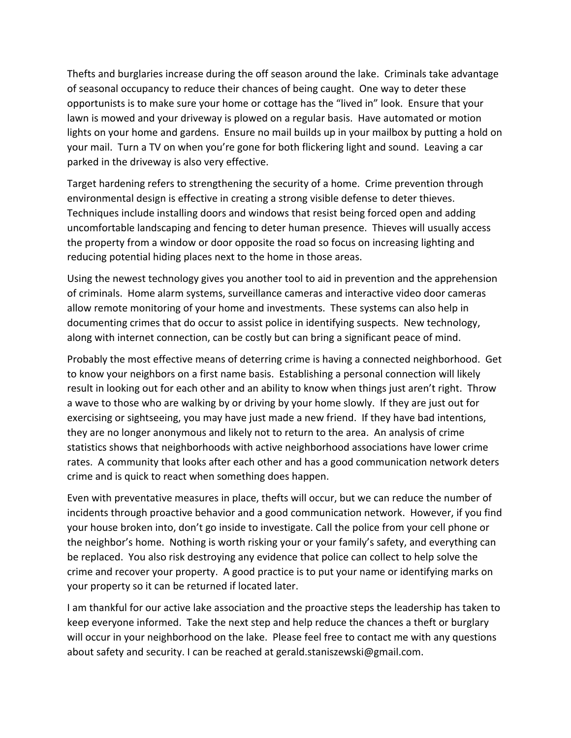Thefts and burglaries increase during the off season around the lake. Criminals take advantage of seasonal occupancy to reduce their chances of being caught. One way to deter these opportunists is to make sure your home or cottage has the "lived in" look. Ensure that your lawn is mowed and your driveway is plowed on a regular basis. Have automated or motion lights on your home and gardens. Ensure no mail builds up in your mailbox by putting a hold on your mail. Turn a TV on when you're gone for both flickering light and sound. Leaving a car parked in the driveway is also very effective.

Target hardening refers to strengthening the security of a home. Crime prevention through environmental design is effective in creating a strong visible defense to deter thieves. Techniques include installing doors and windows that resist being forced open and adding uncomfortable landscaping and fencing to deter human presence. Thieves will usually access the property from a window or door opposite the road so focus on increasing lighting and reducing potential hiding places next to the home in those areas.

Using the newest technology gives you another tool to aid in prevention and the apprehension of criminals. Home alarm systems, surveillance cameras and interactive video door cameras allow remote monitoring of your home and investments. These systems can also help in documenting crimes that do occur to assist police in identifying suspects. New technology, along with internet connection, can be costly but can bring a significant peace of mind.

Probably the most effective means of deterring crime is having a connected neighborhood. Get to know your neighbors on a first name basis. Establishing a personal connection will likely result in looking out for each other and an ability to know when things just aren't right. Throw a wave to those who are walking by or driving by your home slowly. If they are just out for exercising or sightseeing, you may have just made a new friend. If they have bad intentions, they are no longer anonymous and likely not to return to the area. An analysis of crime statistics shows that neighborhoods with active neighborhood associations have lower crime rates. A community that looks after each other and has a good communication network deters crime and is quick to react when something does happen.

Even with preventative measures in place, thefts will occur, but we can reduce the number of incidents through proactive behavior and a good communication network. However, if you find your house broken into, don't go inside to investigate. Call the police from your cell phone or the neighbor's home. Nothing is worth risking your or your family's safety, and everything can be replaced. You also risk destroying any evidence that police can collect to help solve the crime and recover your property. A good practice is to put your name or identifying marks on your property so it can be returned if located later.

I am thankful for our active lake association and the proactive steps the leadership has taken to keep everyone informed. Take the next step and help reduce the chances a theft or burglary will occur in your neighborhood on the lake. Please feel free to contact me with any questions about safety and security. I can be reached at gerald.staniszewski@gmail.com.